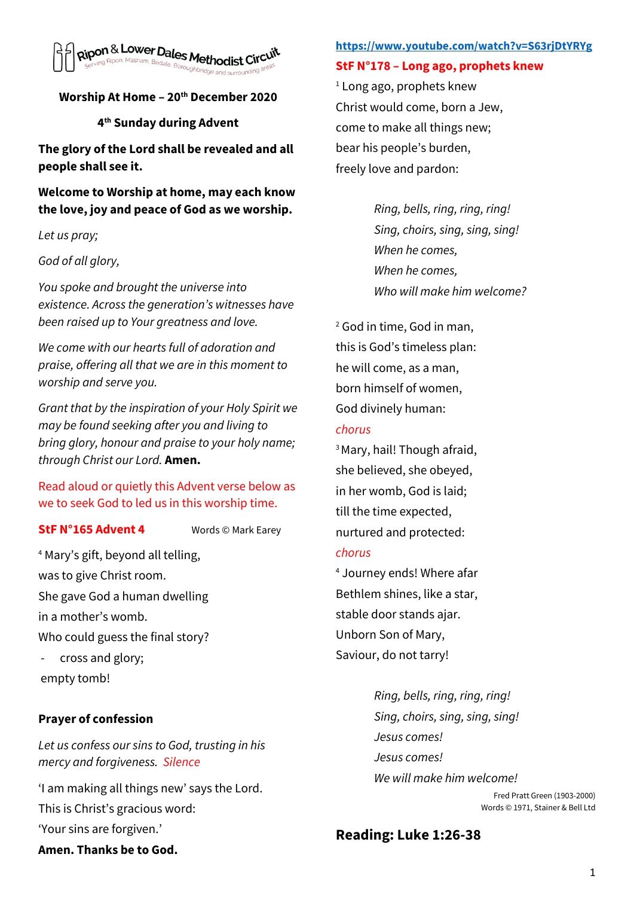

## **Worship At Home – 20th December 2020**

#### **4 th Sunday during Advent**

**The glory of the Lord shall be revealed and all people shall see it.** 

**Welcome to Worship at home, may each know the love, joy and peace of God as we worship.** 

*Let us pray;*

#### *God of all glory,*

*You spoke and brought the universe into existence. Across the generation's witnesses have been raised up to Your greatness and love.* 

*We come with our hearts full of adoration and praise, offering all that we are in this moment to worship and serve you.* 

*Grant that by the inspiration of your Holy Spirit we may be found seeking after you and living to bring glory, honour and praise to your holy name; through Christ our Lord.* **Amen.** 

Read aloud or quietly this Advent verse below as we to seek God to led us in this worship time.

#### **StF N°165 Advent 4** Words © Mark Earey

<sup>4</sup> Mary's gift, beyond all telling, was to give Christ room. She gave God a human dwelling in a mother's womb. Who could guess the final story? cross and glory;

empty tomb!

## **Prayer of confession**

*Let us confess our sins to God, trusting in his mercy and forgiveness. Silence* 

'I am making all things new' says the Lord. This is Christ's gracious word: 'Your sins are forgiven.'

#### **<https://www.youtube.com/watch?v=S63rjDtYRYg>**

**StF N°178 – Long ago, prophets knew**

 $1$  Long ago, prophets knew Christ would come, born a Jew, come to make all things new; bear his people's burden, freely love and pardon:

> *Ring, bells, ring, ring, ring! Sing, choirs, sing, sing, sing! When he comes, When he comes, Who will make him welcome?*

<sup>2</sup> God in time, God in man, this is God's timeless plan: he will come, as a man, born himself of women, God divinely human:

### *chorus*

<sup>3</sup>Mary, hail! Though afraid, she believed, she obeyed, in her womb, God is laid; till the time expected, nurtured and protected:

#### *chorus*

<sup>4</sup> Journey ends! Where afar Bethlem shines, like a star, stable door stands ajar. Unborn Son of Mary, Saviour, do not tarry!

> *Ring, bells, ring, ring, ring! Sing, choirs, sing, sing, sing! Jesus comes! Jesus comes! We will make him welcome!*

Fred Pratt Green (1903-2000) Words © 1971, Stainer & Bell Ltd

# **Reading: Luke 1:26-38**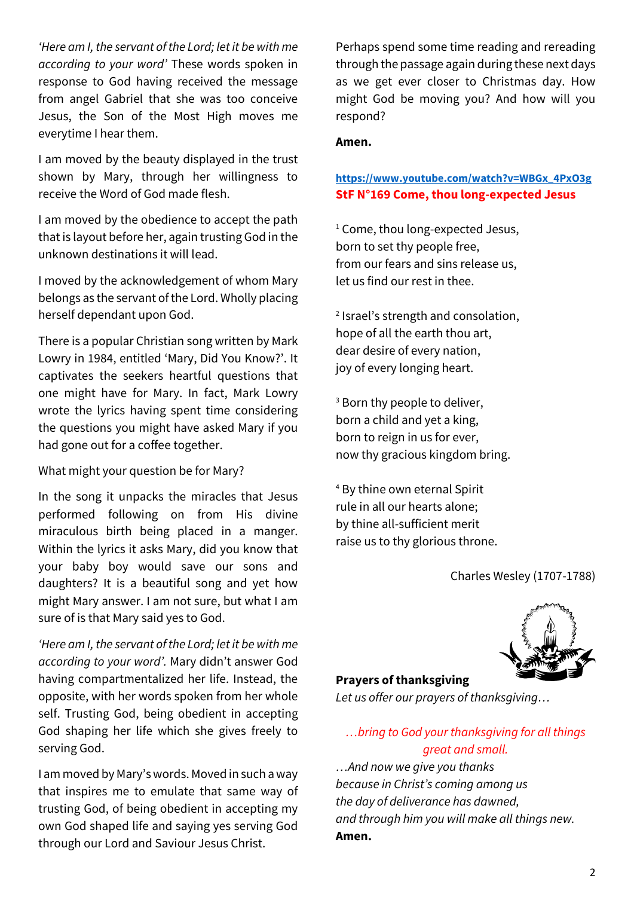*'Here am I, the servant of the Lord; let it be with me according to your word'* These words spoken in response to God having received the message from angel Gabriel that she was too conceive Jesus, the Son of the Most High moves me everytime I hear them.

I am moved by the beauty displayed in the trust shown by Mary, through her willingness to receive the Word of God made flesh.

I am moved by the obedience to accept the path that is layout before her, again trusting God in the unknown destinations it will lead.

I moved by the acknowledgement of whom Mary belongs as the servant of the Lord. Wholly placing herself dependant upon God.

There is a popular Christian song written by Mark Lowry in 1984, entitled 'Mary, Did You Know?'. It captivates the seekers heartful questions that one might have for Mary. In fact, Mark Lowry wrote the lyrics having spent time considering the questions you might have asked Mary if you had gone out for a coffee together.

What might your question be for Mary?

In the song it unpacks the miracles that Jesus performed following on from His divine miraculous birth being placed in a manger. Within the lyrics it asks Mary, did you know that your baby boy would save our sons and daughters? It is a beautiful song and yet how might Mary answer. I am not sure, but what I am sure of is that Mary said yes to God.

*'Here am I, the servant of the Lord; let it be with me according to your word'.* Mary didn't answer God having compartmentalized her life. Instead, the opposite, with her words spoken from her whole self. Trusting God, being obedient in accepting God shaping her life which she gives freely to serving God.

I am moved by Mary's words. Moved in such a way that inspires me to emulate that same way of trusting God, of being obedient in accepting my own God shaped life and saying yes serving God through our Lord and Saviour Jesus Christ.

Perhaps spend some time reading and rereading through the passage again during these next days as we get ever closer to Christmas day. How might God be moving you? And how will you respond?

#### **Amen.**

### **[https://www.youtube.com/watch?v=WBGx\\_4PxO3g](https://www.youtube.com/watch?v=WBGx_4PxO3g) StF N°169 Come, thou long-expected Jesus**

<sup>1</sup> Come, thou long-expected Jesus, born to set thy people free, from our fears and sins release us, let us find our rest in thee.

2 Israel's strength and consolation, hope of all the earth thou art, dear desire of every nation, joy of every longing heart.

<sup>3</sup> Born thy people to deliver, born a child and yet a king, born to reign in us for ever, now thy gracious kingdom bring.

<sup>4</sup> By thine own eternal Spirit rule in all our hearts alone; by thine all-sufficient merit raise us to thy glorious throne.

Charles Wesley (1707-1788)



#### **Prayers of thanksgiving**

*Let us offer our prayers of thanksgiving…*

# *…bring to God your thanksgiving for all things great and small.*

*…And now we give you thanks because in Christ's coming among us the day of deliverance has dawned, and through him you will make all things new.*  **Amen.**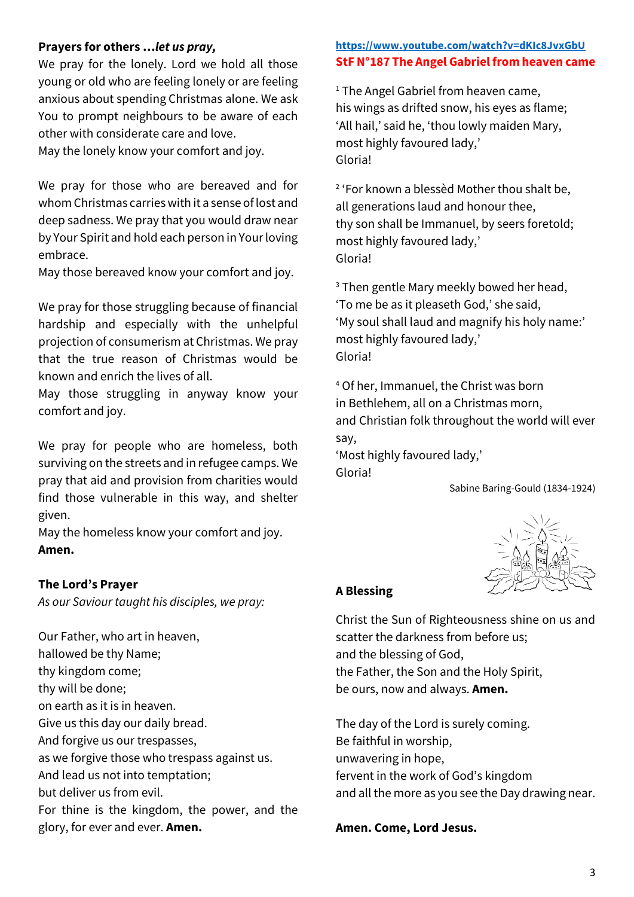### **Prayers for others …***let us pray,*

We pray for the lonely. Lord we hold all those young or old who are feeling lonely or are feeling anxious about spending Christmas alone. We ask You to prompt neighbours to be aware of each other with considerate care and love.

May the lonely know your comfort and joy.

We pray for those who are bereaved and for whom Christmas carrieswith it a sense of lost and deep sadness. We pray that you would draw near by Your Spirit and hold each person in Your loving embrace.

May those bereaved know your comfort and joy.

We pray for those struggling because of financial hardship and especially with the unhelpful projection of consumerism at Christmas. We pray that the true reason of Christmas would be known and enrich the lives of all.

May those struggling in anyway know your comfort and joy.

We pray for people who are homeless, both surviving on the streets and in refugee camps. We pray that aid and provision from charities would find those vulnerable in this way, and shelter given.

May the homeless know your comfort and joy. **Amen.** 

#### **The Lord's Prayer**

*As our Saviour taught his disciples, we pray:* 

Our Father, who art in heaven, hallowed be thy Name; thy kingdom come; thy will be done; on earth as it is in heaven. Give us this day our daily bread. And forgive us our trespasses, as we forgive those who trespass against us. And lead us not into temptation; but deliver us from evil. For thine is the kingdom, the power, and the glory, for ever and ever. **Amen.**

### **<https://www.youtube.com/watch?v=dKIc8JvxGbU> StF N°187 The Angel Gabriel from heaven came**

<sup>1</sup> The Angel Gabriel from heaven came, his wings as drifted snow, his eyes as flame; 'All hail,' said he, 'thou lowly maiden Mary, most highly favoured lady,' Gloria!

2 'For known a blessèd Mother thou shalt be, all generations laud and honour thee, thy son shall be Immanuel, by seers foretold; most highly favoured lady,' Gloria!

<sup>3</sup> Then gentle Mary meekly bowed her head, 'To me be as it pleaseth God,' she said, 'My soul shall laud and magnify his holy name:' most highly favoured lady,' Gloria!

<sup>4</sup> Of her, Immanuel, the Christ was born in Bethlehem, all on a Christmas morn, and Christian folk throughout the world will ever say,

'Most highly favoured lady,' Gloria!

Sabine Baring-Gould (1834-1924)



#### **A Blessing**

Christ the Sun of Righteousness shine on us and scatter the darkness from before us; and the blessing of God, the Father, the Son and the Holy Spirit, be ours, now and always. **Amen.** 

The day of the Lord is surely coming. Be faithful in worship, unwavering in hope, fervent in the work of God's kingdom and all the more as you see the Day drawing near.

**Amen. Come, Lord Jesus.**